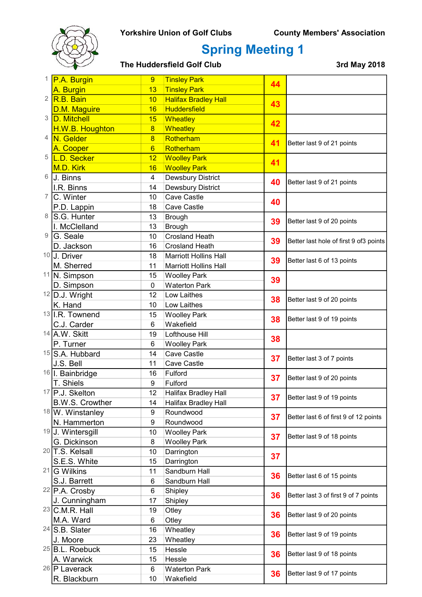

## Spring Meeting 1

|    | P.A. Burgin                | 9<br><b>Tinsley Park</b> | 44                           |    |                                        |
|----|----------------------------|--------------------------|------------------------------|----|----------------------------------------|
|    | A. Burgin                  | 13                       | <b>Tinsley Park</b>          |    |                                        |
| 2  | R.B. Bain                  | 10                       | <b>Halifax Bradley Hall</b>  |    |                                        |
|    | D.M. Maguire               | 16                       | <b>Huddersfield</b>          | 43 |                                        |
| 3  | D. Mitchell                | 15                       | Wheatley                     |    |                                        |
|    | H.W.B. Houghton            | $\overline{8}$           | <b>Wheatley</b>              | 42 |                                        |
| 4  | N. Gelder                  | $\overline{8}$           | Rotherham                    |    |                                        |
|    | A. Cooper                  | $6\overline{6}$          | Rotherham                    | 41 | Better last 9 of 21 points             |
| 5  | L.D. Secker                | 12                       | <b>Woolley Park</b>          |    |                                        |
|    | M.D. Kirk                  | 16                       | <b>Woolley Park</b>          | 41 |                                        |
| 6  | J. Binns                   | 4                        | Dewsbury District            |    |                                        |
|    | I.R. Binns                 | 14                       | Dewsbury District            | 40 | Better last 9 of 21 points             |
| 7  | C. Winter                  | 10                       | Cave Castle                  | 40 |                                        |
|    | P.D. Lappin                | 18                       | Cave Castle                  |    |                                        |
| 8  | S.G. Hunter                | 13                       | <b>Brough</b>                |    |                                        |
|    | I. McClelland              | 13                       | <b>Brough</b>                | 39 | Better last 9 of 20 points             |
| 9  | G. Seale                   | 10                       | <b>Crosland Heath</b>        |    |                                        |
|    | D. Jackson                 | 16                       | <b>Crosland Heath</b>        | 39 | Better last hole of first 9 of3 points |
| 10 | J. Driver                  | 18                       | <b>Marriott Hollins Hall</b> |    |                                        |
|    | M. Sherred                 | 11                       | <b>Marriott Hollins Hall</b> | 39 | Better last 6 of 13 points             |
| 11 | N. Simpson                 | 15                       | <b>Woolley Park</b>          |    |                                        |
|    | D. Simpson                 | $\mathbf 0$              | <b>Waterton Park</b>         | 39 |                                        |
|    | $12$ D.J. Wright           | 12                       | Low Laithes                  |    |                                        |
|    | K. Hand                    | 10                       | Low Laithes                  | 38 | Better last 9 of 20 points             |
|    | 13 I.R. Townend            | 15                       | <b>Woolley Park</b>          |    |                                        |
|    | C.J. Carder                | 6                        | Wakefield                    | 38 | Better last 9 of 19 points             |
|    | 14 A.W. Skitt              | 19                       | Lofthouse Hill               |    |                                        |
|    | P. Turner                  | 6                        | <b>Woolley Park</b>          | 38 |                                        |
|    | 15 S.A. Hubbard            | 14                       | Cave Castle                  |    |                                        |
|    | J.S. Bell                  | 11                       | Cave Castle                  | 37 | Better last 3 of 7 points              |
|    | 16 I. Bainbridge           | 16                       | Fulford                      |    |                                        |
|    | T. Shiels                  | 9                        | Fulford                      | 37 | Better last 9 of 20 points             |
|    | 17 P.J. Skelton            | 12                       | Halifax Bradley Hall         |    |                                        |
|    | <b>B.W.S. Crowther</b>     | 14                       | <b>Halifax Bradley Hall</b>  | 37 | Better last 9 of 19 points             |
|    | 18 W. Winstanley           | 9                        | Roundwood                    |    |                                        |
|    | N. Hammerton               | 9                        | Roundwood                    | 37 | Better last 6 of first 9 of 12 points  |
|    | 19 J. Wintersgill          | 10                       | <b>Woolley Park</b>          |    |                                        |
|    | G. Dickinson               | 8                        | <b>Woolley Park</b>          | 37 | Better last 9 of 18 points             |
|    | $20$ T.S. Kelsall          | 10                       | Darrington                   |    |                                        |
|    | S.E.S. White               | 15                       | Darrington                   | 37 |                                        |
|    | $21$ G Wilkins             | 11                       | Sandburn Hall                |    |                                        |
|    | S.J. Barrett               | 6                        | Sandburn Hall                | 36 | Better last 6 of 15 points             |
|    | $22$ P.A. Crosby           | 6                        | Shipley                      |    |                                        |
|    | J. Cunningham              | 17                       | Shipley                      | 36 | Better last 3 of first 9 of 7 points   |
|    | $23$ C.M.R. Hall           | 19                       | Otley                        |    | Better last 9 of 20 points             |
|    | M.A. Ward                  | 6                        | Otley                        | 36 |                                        |
|    | $24$ S.B. Slater           | 16                       | Wheatley                     | 36 | Better last 9 of 19 points             |
|    | J. Moore                   | 23                       | Wheatley                     |    |                                        |
|    | <sup>25</sup> B.L. Roebuck | 15                       | Hessle                       |    |                                        |
|    | A. Warwick                 | 15                       | Hessle                       | 36 | Better last 9 of 18 points             |
|    | <sup>26</sup> P Laverack   | 6                        | <b>Waterton Park</b>         | 36 |                                        |
|    | R. Blackburn               | 10                       | Wakefield                    |    | Better last 9 of 17 points             |
|    |                            |                          |                              |    |                                        |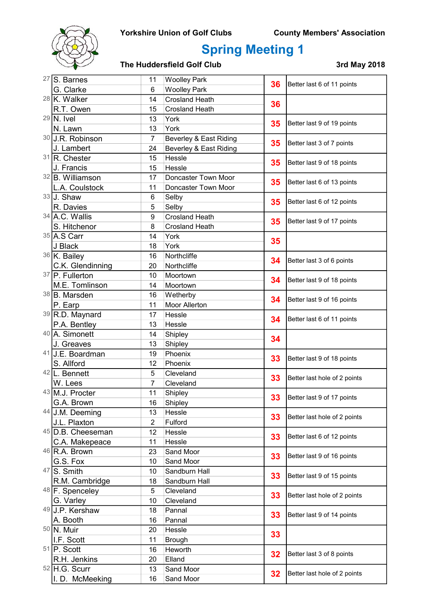### Yorkshire Union of Golf Clubs County Members' Association



## Spring Meeting 1

|    | $27$ S. Barnes                  | 11                   | <b>Woolley Park</b>    | 36       | Better last 6 of 11 points   |
|----|---------------------------------|----------------------|------------------------|----------|------------------------------|
|    | G. Clarke                       | 6                    | <b>Woolley Park</b>    |          |                              |
|    | $28$ K. Walker                  | 14                   | <b>Crosland Heath</b>  | 36       |                              |
|    | R.T. Owen                       | 15                   | <b>Crosland Heath</b>  |          |                              |
|    | $29$ N. Ivel                    | 13                   | York                   | 35       | Better last 9 of 19 points   |
|    | N. Lawn                         | 13                   | York                   |          |                              |
|    | 30 J.R. Robinson                | $\overline{7}$       | Beverley & East Riding | 35       | Better last 3 of 7 points    |
|    | J. Lambert                      | 24                   | Beverley & East Riding |          |                              |
|    | 31 R. Chester                   | 15                   | Hessle                 | 35       | Better last 9 of 18 points   |
|    | J. Francis                      | 15                   | Hessle                 |          |                              |
|    | 32 B. Williamson                | 17                   | Doncaster Town Moor    | 35       | Better last 6 of 13 points   |
|    | L.A. Coulstock                  | 11                   | Doncaster Town Moor    |          |                              |
|    | 33 J. Shaw                      | 6                    | Selby                  | 35       | Better last 6 of 12 points   |
|    | R. Davies                       | 5                    | Selby                  |          |                              |
|    | 34 A.C. Wallis                  | 9                    | <b>Crosland Heath</b>  | 35       | Better last 9 of 17 points   |
|    | S. Hitchenor                    | 8                    | <b>Crosland Heath</b>  |          |                              |
|    | 35 A.S Carr                     | 14                   | York                   | 35       |                              |
|    | J Black                         | 18                   | York                   |          |                              |
|    | 36 K. Bailey                    | 16                   | Northcliffe            | 34       | Better last 3 of 6 points    |
|    | C.K. Glendinning                | 20                   | Northcliffe            |          |                              |
|    | 37 P. Fullerton                 | 10                   | Moortown               | 34       | Better last 9 of 18 points   |
|    | M.E. Tomlinson                  | 14                   | Moortown               |          |                              |
|    | 38 B. Marsden                   | 16                   | Wetherby               | 34       | Better last 9 of 16 points   |
|    | P. Earp                         | 11                   | <b>Moor Allerton</b>   |          |                              |
|    | 39 R.D. Maynard                 | 17                   | Hessle                 | 34<br>34 | Better last 6 of 11 points   |
|    | P.A. Bentley                    | 13                   | Hessle                 |          |                              |
|    | 40 A. Simonett                  | 14                   | Shipley                |          |                              |
| 41 | J. Greaves                      | 13                   | Shipley                |          |                              |
|    | <b>J.E. Boardman</b>            | 19                   | Phoenix                | 33       | Better last 9 of 18 points   |
|    | S. Allford<br>42 L. Bennett     | 12                   | Phoenix                |          |                              |
|    |                                 | 5                    | Cleveland              | 33       | Better last hole of 2 points |
|    | W. Lees<br>43 M.J. Procter      | 7                    | Cleveland              |          |                              |
|    | G.A. Brown                      | 11                   | Shipley                | 33       | Better last 9 of 17 points   |
|    | 44 J.M. Deeming                 | 16                   | Shipley                |          |                              |
|    | J.L. Plaxton                    | 13<br>$\overline{2}$ | Hessle<br>Fulford      | 33       | Better last hole of 2 points |
|    | $45$ D.B. Cheeseman             | 12                   | Hessle                 |          |                              |
|    | C.A. Makepeace                  | 11                   | Hessle                 | 33       | Better last 6 of 12 points   |
|    | $46$ R.A. Brown                 | 23                   | Sand Moor              |          |                              |
|    | G.S. Fox                        | 10                   | Sand Moor              | 33       | Better last 9 of 16 points   |
|    | $47\overline{\text{S}}$ . Smith | 10                   | Sandburn Hall          |          |                              |
|    | R.M. Cambridge                  | 18                   | Sandburn Hall          | 33       | Better last 9 of 15 points   |
|    | 48 F. Spenceley                 | 5                    | Cleveland              |          | Better last hole of 2 points |
|    | G. Varley                       | 10                   | Cleveland              | 33       |                              |
|    | 49 J.P. Kershaw                 | Pannal<br>18         |                        |          |                              |
|    | A. Booth                        | 16                   | Pannal                 | 33       | Better last 9 of 14 points   |
|    | 50 N. Muir                      | 20                   | Hessle                 | 33       |                              |
|    | I.F. Scott                      | 11                   | <b>Brough</b>          |          |                              |
|    | $51$ P. Scott                   | 16                   | Heworth                |          |                              |
|    | R.H. Jenkins                    | 20                   | Elland                 | 32       | Better last 3 of 8 points    |
|    | $52$ H.G. Scurr                 | 13                   | Sand Moor              | 32       |                              |
|    | I. D. McMeeking                 | 16                   | Sand Moor              |          | Better last hole of 2 points |
|    |                                 |                      |                        |          |                              |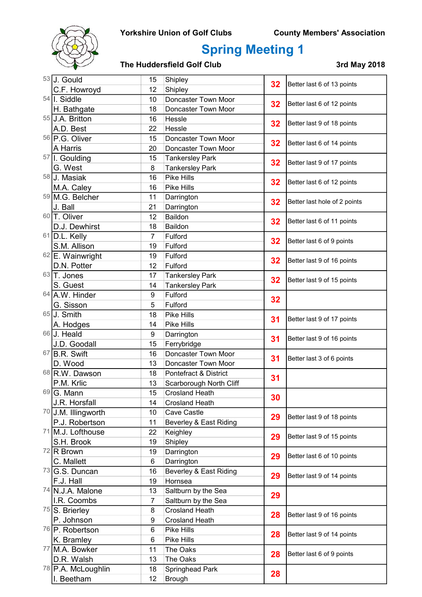### Yorkshire Union of Golf Clubs County Members' Association



## Spring Meeting 1

|    | $53$ J. Gould                 | Shipley<br>15  | 32                      | Better last 6 of 13 points |                              |
|----|-------------------------------|----------------|-------------------------|----------------------------|------------------------------|
|    | C.F. Howroyd                  | 12             | Shipley                 |                            |                              |
|    | $54$ I. Siddle                | 10             | Doncaster Town Moor     | 32                         | Better last 6 of 12 points   |
|    | H. Bathgate                   | 18             | Doncaster Town Moor     |                            |                              |
|    | 55 J.A. Britton               | 16             | Hessle                  |                            | Better last 9 of 18 points   |
|    | A.D. Best                     | 22             | Hessle                  | 32                         |                              |
|    | <sup>56</sup> P.G. Oliver     | 15             | Doncaster Town Moor     | 32                         | Better last 6 of 14 points   |
|    | A Harris                      | 20             | Doncaster Town Moor     |                            |                              |
|    | 57 I. Goulding                | 15             | <b>Tankersley Park</b>  | 32                         | Better last 9 of 17 points   |
|    | G. West                       | 8              | <b>Tankersley Park</b>  |                            |                              |
|    | 58 J. Masiak                  | 16             | Pike Hills              | 32                         | Better last 6 of 12 points   |
|    | M.A. Caley                    | 16             | Pike Hills              |                            |                              |
|    | 59 M.G. Belcher               | 11             | Darrington              | 32                         | Better last hole of 2 points |
|    | J. Ball                       | 21             | Darrington              |                            |                              |
|    | 60 T. Oliver                  | 12             | Baildon                 | 32                         | Better last 6 of 11 points   |
|    | D.J. Dewhirst                 | 18             | Baildon                 |                            |                              |
| 61 | D.L. Kelly                    | $\overline{7}$ | Fulford                 | 32                         |                              |
|    | S.M. Allison                  | 19             | Fulford                 |                            | Better last 6 of 9 points    |
|    | 62 E. Wainwright              | 19             | Fulford                 | 32                         | Better last 9 of 16 points   |
|    | D.N. Potter                   | 12             | Fulford                 |                            |                              |
|    | $63$ T. Jones                 | 17             | <b>Tankersley Park</b>  | 32                         |                              |
|    | S. Guest                      | 14             | <b>Tankersley Park</b>  |                            | Better last 9 of 15 points   |
|    | 64 A.W. Hinder                | 9              | Fulford                 | 32                         |                              |
|    | G. Sisson                     | 5              | Fulford                 |                            | Better last 9 of 17 points   |
|    | $65$ J. Smith                 | 18             | Pike Hills              | 31                         |                              |
|    | A. Hodges                     | 14             | Pike Hills              |                            |                              |
|    | 66 J. Heald                   | 9              | Darrington              | 31                         | Better last 9 of 16 points   |
|    | J.D. Goodall                  | 15             | Ferrybridge             |                            |                              |
| 67 | B.R. Swift                    | 16             | Doncaster Town Moor     | 31                         | Better last 3 of 6 points    |
|    | D. Wood                       | 13             | Doncaster Town Moor     |                            |                              |
|    | 68 R.W. Dawson                | 18             | Pontefract & District   | 31                         |                              |
|    | P.M. Krlic                    | 13             | Scarborough North Cliff |                            |                              |
|    | 69 G. Mann                    | 15             | <b>Crosland Heath</b>   | 30                         |                              |
|    | J.R. Horsfall                 | 14             | <b>Crosland Heath</b>   |                            |                              |
|    | 70 J.M. Illingworth           | 10             | Cave Castle             | 29                         | Better last 9 of 18 points   |
|    | P.J. Robertson                | 11             | Beverley & East Riding  |                            |                              |
| 71 | M.J. Lofthouse                | 22             | Keighley                | 29                         | Better last 9 of 15 points   |
|    | S.H. Brook                    | 19             | Shipley                 |                            |                              |
|    | $72$ R Brown                  | 19             | Darrington              | 29                         |                              |
|    | C. Mallett                    | 6              | Darrington              |                            | Better last 6 of 10 points   |
|    | $73$ G.S. Duncan              | 16             | Beverley & East Riding  |                            | Better last 9 of 14 points   |
|    | F.J. Hall                     | 19             | Hornsea                 | 29                         |                              |
|    | 74 N.J.A. Malone              | 13             | Saltburn by the Sea     | 29                         |                              |
|    | I.R. Coombs                   | 7              | Saltburn by the Sea     |                            |                              |
|    | $75$ S. Brierley              | 8              | <b>Crosland Heath</b>   | 28                         | Better last 9 of 16 points   |
|    | P. Johnson                    | 9              | <b>Crosland Heath</b>   |                            |                              |
|    | <sup>76</sup> P. Robertson    | 6              | Pike Hills              | 28                         | Better last 9 of 14 points   |
|    | K. Bramley                    | 6              | Pike Hills              |                            |                              |
|    | 77 M.A. Bowker                | 11             | The Oaks                |                            | Better last 6 of 9 points    |
|    | D.R. Walsh                    | 13             | The Oaks                | 28                         |                              |
|    | <sup>78</sup> P.A. McLoughlin | 18             | Springhead Park         | 28                         |                              |
|    | I. Beetham                    | 12             | <b>Brough</b>           |                            |                              |